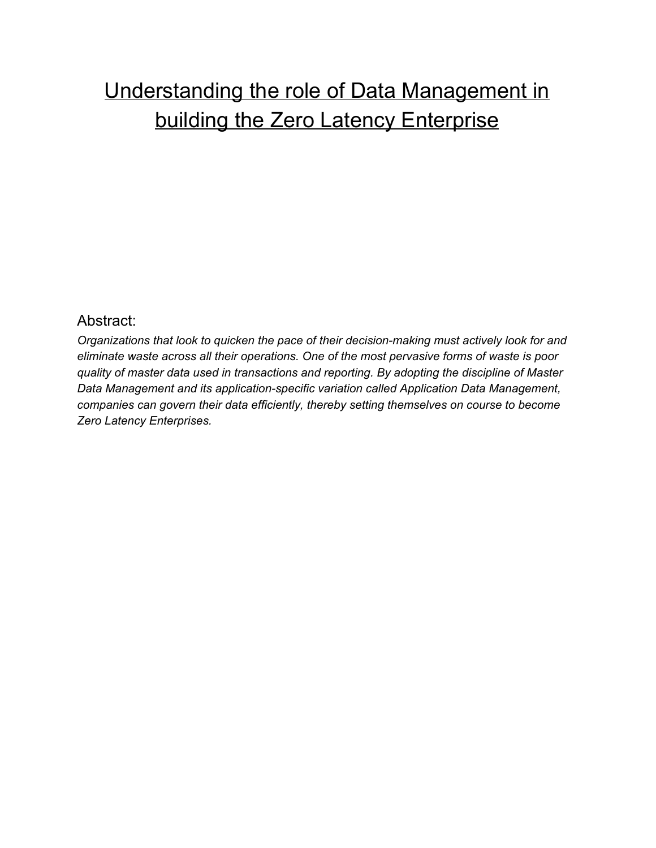# Understanding the role of Data Management in building the Zero Latency Enterprise

#### Abstract:

*Organizations that look to quicken the pace of their decisionmaking must actively look for and eliminate waste across all their operations. One of the most pervasive forms of waste is poor quality of master data used in transactions and reporting. By adopting the discipline of Master Data Management* and *its application-specific variation called Application Data Management, companies can govern their data efficiently, thereby setting themselves on course to become Zero Latency Enterprises.*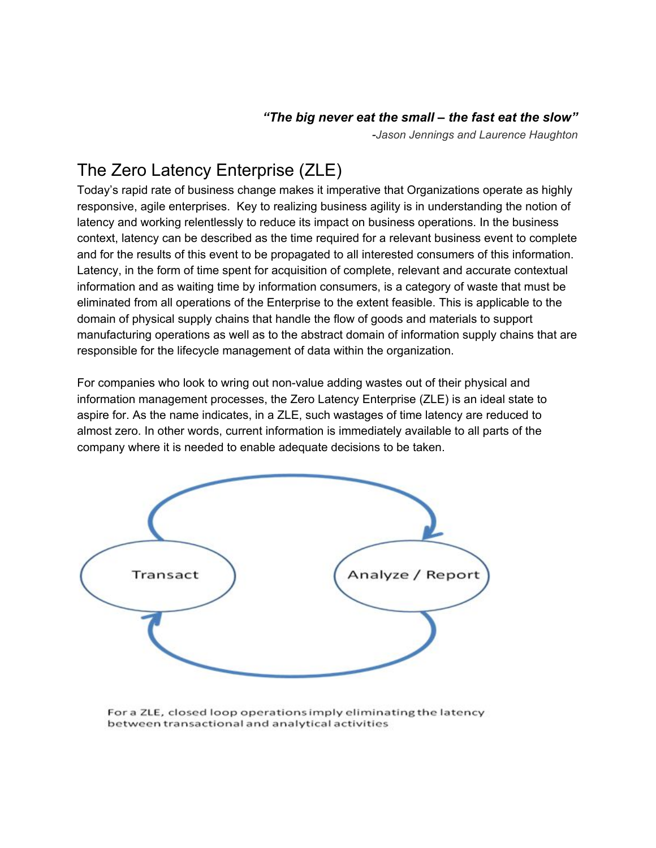#### *"The big never eat the small – the fast eat the slow"*

*Jason Jennings and Laurence Haughton*

### The Zero Latency Enterprise (ZLE)

Today's rapid rate of business change makes it imperative that Organizations operate as highly responsive, agile enterprises. Key to realizing business agility is in understanding the notion of latency and working relentlessly to reduce its impact on business operations. In the business context, latency can be described as the time required for a relevant business event to complete and for the results of this event to be propagated to all interested consumers of this information. Latency, in the form of time spent for acquisition of complete, relevant and accurate contextual information and as waiting time by information consumers, is a category of waste that must be eliminated from all operations of the Enterprise to the extent feasible. This is applicable to the domain of physical supply chains that handle the flow of goods and materials to support manufacturing operations as well as to the abstract domain of information supply chains that are responsible for the lifecycle management of data within the organization.

For companies who look to wring out non-value adding wastes out of their physical and information management processes, the Zero Latency Enterprise (ZLE) is an ideal state to aspire for. As the name indicates, in a ZLE, such wastages of time latency are reduced to almost zero. In other words, current information is immediately available to all parts of the company where it is needed to enable adequate decisions to be taken.



For a ZLE, closed loop operations imply eliminating the latency between transactional and analytical activities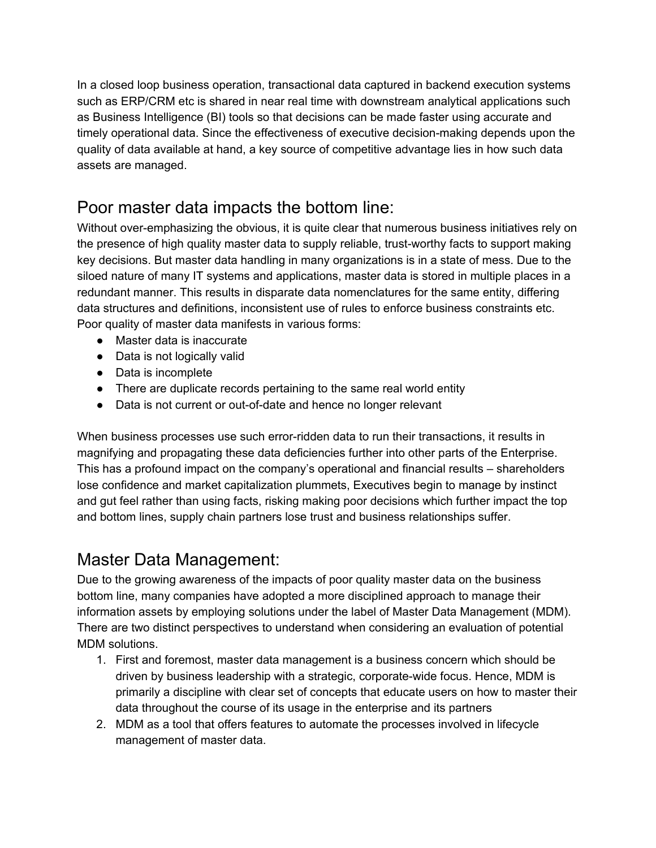In a closed loop business operation, transactional data captured in backend execution systems such as ERP/CRM etc is shared in near real time with downstream analytical applications such as Business Intelligence (BI) tools so that decisions can be made faster using accurate and timely operational data. Since the effectiveness of executive decision-making depends upon the quality of data available at hand, a key source of competitive advantage lies in how such data assets are managed.

#### Poor master data impacts the bottom line:

Without over-emphasizing the obvious, it is quite clear that numerous business initiatives rely on the presence of high quality master data to supply reliable, trust-worthy facts to support making key decisions. But master data handling in many organizations is in a state of mess. Due to the siloed nature of many IT systems and applications, master data is stored in multiple places in a redundant manner. This results in disparate data nomenclatures for the same entity, differing data structures and definitions, inconsistent use of rules to enforce business constraints etc. Poor quality of master data manifests in various forms:

- Master data is inaccurate
- Data is not logically valid
- Data is incomplete
- There are duplicate records pertaining to the same real world entity
- Data is not current or out-of-date and hence no longer relevant

When business processes use such error-ridden data to run their transactions, it results in magnifying and propagating these data deficiencies further into other parts of the Enterprise. This has a profound impact on the company's operational and financial results – shareholders lose confidence and market capitalization plummets, Executives begin to manage by instinct and gut feel rather than using facts, risking making poor decisions which further impact the top and bottom lines, supply chain partners lose trust and business relationships suffer.

#### Master Data Management:

Due to the growing awareness of the impacts of poor quality master data on the business bottom line, many companies have adopted a more disciplined approach to manage their information assets by employing solutions under the label of Master Data Management (MDM). There are two distinct perspectives to understand when considering an evaluation of potential MDM solutions.

- 1. First and foremost, master data management is a business concern which should be driven by business leadership with a strategic, corporate-wide focus. Hence, MDM is primarily a discipline with clear set of concepts that educate users on how to master their data throughout the course of its usage in the enterprise and its partners
- 2. MDM as a tool that offers features to automate the processes involved in lifecycle management of master data.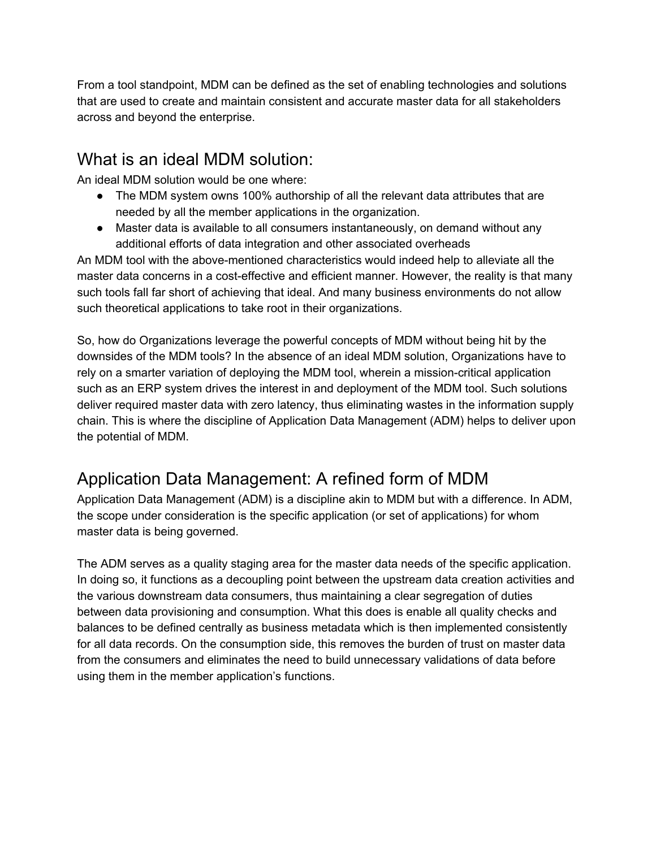From a tool standpoint, MDM can be defined as the set of enabling technologies and solutions that are used to create and maintain consistent and accurate master data for all stakeholders across and beyond the enterprise.

#### What is an ideal MDM solution:

An ideal MDM solution would be one where:

- The MDM system owns 100% authorship of all the relevant data attributes that are needed by all the member applications in the organization.
- Master data is available to all consumers instantaneously, on demand without any additional efforts of data integration and other associated overheads

An MDM tool with the above-mentioned characteristics would indeed help to alleviate all the master data concerns in a cost-effective and efficient manner. However, the reality is that many such tools fall far short of achieving that ideal. And many business environments do not allow such theoretical applications to take root in their organizations.

So, how do Organizations leverage the powerful concepts of MDM without being hit by the downsides of the MDM tools? In the absence of an ideal MDM solution, Organizations have to rely on a smarter variation of deploying the MDM tool, wherein a mission-critical application such as an ERP system drives the interest in and deployment of the MDM tool. Such solutions deliver required master data with zero latency, thus eliminating wastes in the information supply chain. This is where the discipline of Application Data Management (ADM) helps to deliver upon the potential of MDM.

### Application Data Management: A refined form of MDM

Application Data Management (ADM) is a discipline akin to MDM but with a difference. In ADM, the scope under consideration is the specific application (or set of applications) for whom master data is being governed.

The ADM serves as a quality staging area for the master data needs of the specific application. In doing so, it functions as a decoupling point between the upstream data creation activities and the various downstream data consumers, thus maintaining a clear segregation of duties between data provisioning and consumption. What this does is enable all quality checks and balances to be defined centrally as business metadata which is then implemented consistently for all data records. On the consumption side, this removes the burden of trust on master data from the consumers and eliminates the need to build unnecessary validations of data before using them in the member application's functions.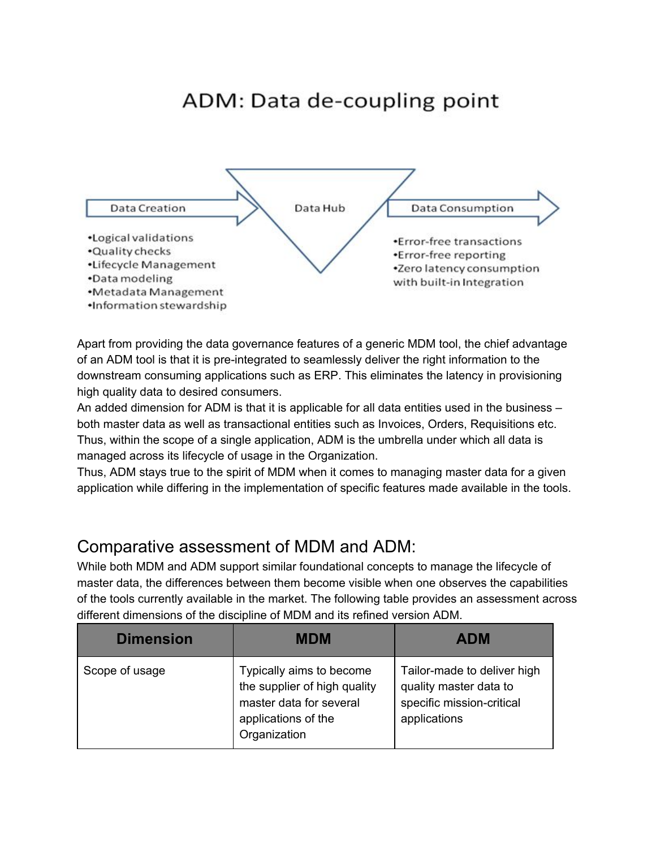## ADM: Data de-coupling point



Apart from providing the data governance features of a generic MDM tool, the chief advantage of an ADM tool is that it is pre-integrated to seamlessly deliver the right information to the downstream consuming applications such as ERP. This eliminates the latency in provisioning high quality data to desired consumers.

An added dimension for ADM is that it is applicable for all data entities used in the business – both master data as well as transactional entities such as Invoices, Orders, Requisitions etc. Thus, within the scope of a single application, ADM is the umbrella under which all data is managed across its lifecycle of usage in the Organization.

Thus, ADM stays true to the spirit of MDM when it comes to managing master data for a given application while differing in the implementation of specific features made available in the tools.

#### Comparative assessment of MDM and ADM:

While both MDM and ADM support similar foundational concepts to manage the lifecycle of master data, the differences between them become visible when one observes the capabilities of the tools currently available in the market. The following table provides an assessment across different dimensions of the discipline of MDM and its refined version ADM.

| <b>Dimension</b> | <b>MDM</b>                                                                                                                 | <b>ADM</b>                                                                                         |
|------------------|----------------------------------------------------------------------------------------------------------------------------|----------------------------------------------------------------------------------------------------|
| Scope of usage   | Typically aims to become<br>the supplier of high quality<br>master data for several<br>applications of the<br>Organization | Tailor-made to deliver high<br>quality master data to<br>specific mission-critical<br>applications |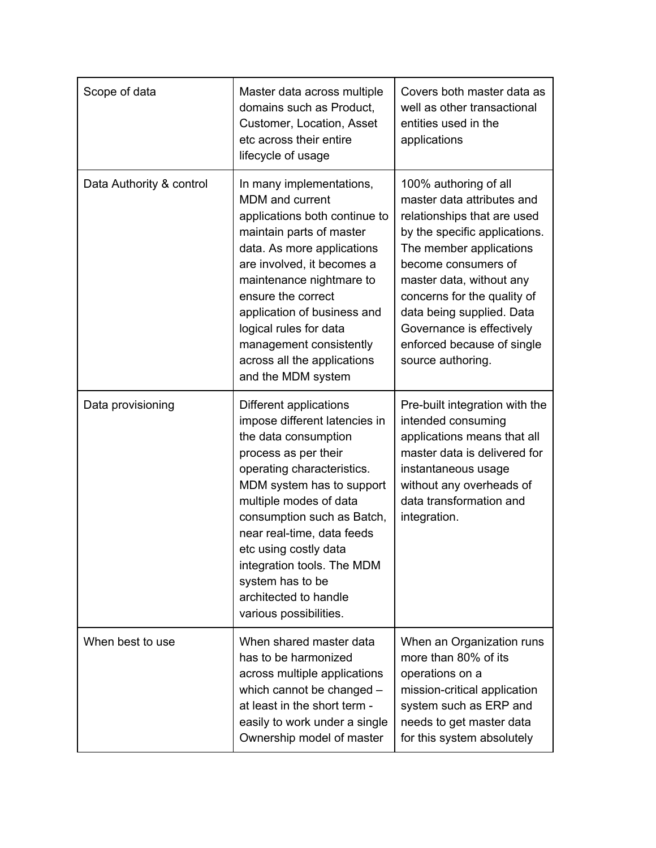| Scope of data            | Master data across multiple<br>domains such as Product,<br>Customer, Location, Asset<br>etc across their entire<br>lifecycle of usage                                                                                                                                                                                                                                                  | Covers both master data as<br>well as other transactional<br>entities used in the<br>applications                                                                                                                                                                                                                                             |
|--------------------------|----------------------------------------------------------------------------------------------------------------------------------------------------------------------------------------------------------------------------------------------------------------------------------------------------------------------------------------------------------------------------------------|-----------------------------------------------------------------------------------------------------------------------------------------------------------------------------------------------------------------------------------------------------------------------------------------------------------------------------------------------|
| Data Authority & control | In many implementations,<br>MDM and current<br>applications both continue to<br>maintain parts of master<br>data. As more applications<br>are involved, it becomes a<br>maintenance nightmare to<br>ensure the correct<br>application of business and<br>logical rules for data<br>management consistently<br>across all the applications<br>and the MDM system                        | 100% authoring of all<br>master data attributes and<br>relationships that are used<br>by the specific applications.<br>The member applications<br>become consumers of<br>master data, without any<br>concerns for the quality of<br>data being supplied. Data<br>Governance is effectively<br>enforced because of single<br>source authoring. |
| Data provisioning        | Different applications<br>impose different latencies in<br>the data consumption<br>process as per their<br>operating characteristics.<br>MDM system has to support<br>multiple modes of data<br>consumption such as Batch,<br>near real-time, data feeds<br>etc using costly data<br>integration tools. The MDM<br>system has to be<br>architected to handle<br>various possibilities. | Pre-built integration with the<br>intended consuming<br>applications means that all<br>master data is delivered for<br>instantaneous usage<br>without any overheads of<br>data transformation and<br>integration.                                                                                                                             |
| When best to use         | When shared master data<br>has to be harmonized<br>across multiple applications<br>which cannot be changed -<br>at least in the short term -<br>easily to work under a single<br>Ownership model of master                                                                                                                                                                             | When an Organization runs<br>more than 80% of its<br>operations on a<br>mission-critical application<br>system such as ERP and<br>needs to get master data<br>for this system absolutely                                                                                                                                                      |